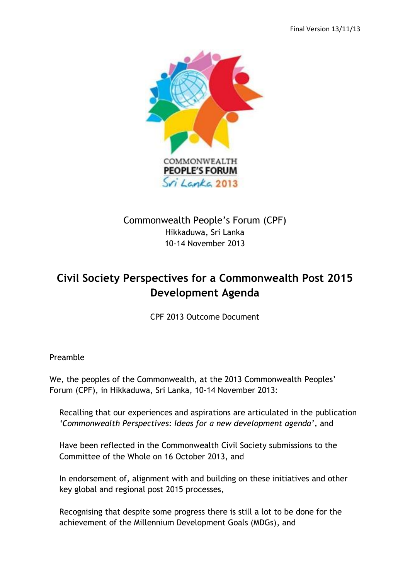

# Commonwealth People's Forum (CPF) Hikkaduwa, Sri Lanka 10-14 November 2013

# **Civil Society Perspectives for a Commonwealth Post 2015 Development Agenda**

CPF 2013 Outcome Document

Preamble

We, the peoples of the Commonwealth, at the 2013 Commonwealth Peoples' Forum (CPF), in Hikkaduwa, Sri Lanka, 10-14 November 2013:

Recalling that our experiences and aspirations are articulated in the publication *'Commonwealth Perspectives: Ideas for a new development agenda',* and

Have been reflected in the Commonwealth Civil Society submissions to the Committee of the Whole on 16 October 2013, and

In endorsement of, alignment with and building on these initiatives and other key global and regional post 2015 processes,

Recognising that despite some progress there is still a lot to be done for the achievement of the Millennium Development Goals (MDGs), and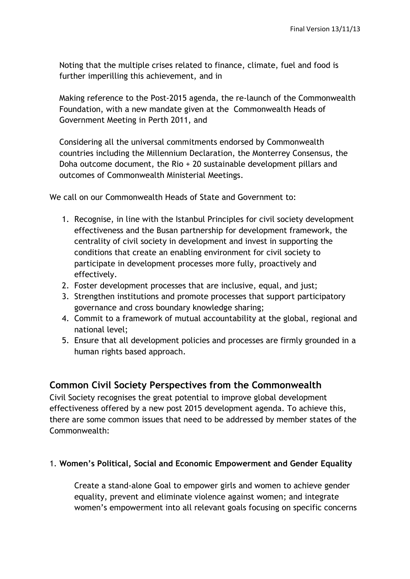Noting that the multiple crises related to finance, climate, fuel and food is further imperilling this achievement, and in

Making reference to the Post-2015 agenda, the re-launch of the Commonwealth Foundation, with a new mandate given at the Commonwealth Heads of Government Meeting in Perth 2011, and

Considering all the universal commitments endorsed by Commonwealth countries including the Millennium Declaration, the Monterrey Consensus, the Doha outcome document, the Rio + 20 sustainable development pillars and outcomes of Commonwealth Ministerial Meetings.

We call on our Commonwealth Heads of State and Government to:

- 1. Recognise, in line with the Istanbul Principles for civil society development effectiveness and the Busan partnership for development framework, the centrality of civil society in development and invest in supporting the conditions that create an enabling environment for civil society to participate in development processes more fully, proactively and effectively.
- 2. Foster development processes that are inclusive, equal, and just;
- 3. Strengthen institutions and promote processes that support participatory governance and cross boundary knowledge sharing;
- 4. Commit to a framework of mutual accountability at the global, regional and national level;
- 5. Ensure that all development policies and processes are firmly grounded in a human rights based approach.

# **Common Civil Society Perspectives from the Commonwealth**

Civil Society recognises the great potential to improve global development effectiveness offered by a new post 2015 development agenda. To achieve this, there are some common issues that need to be addressed by member states of the Commonwealth:

## 1. **Women's Political, Social and Economic Empowerment and Gender Equality**

Create a stand-alone Goal to empower girls and women to achieve gender equality, prevent and eliminate violence against women; and integrate women's empowerment into all relevant goals focusing on specific concerns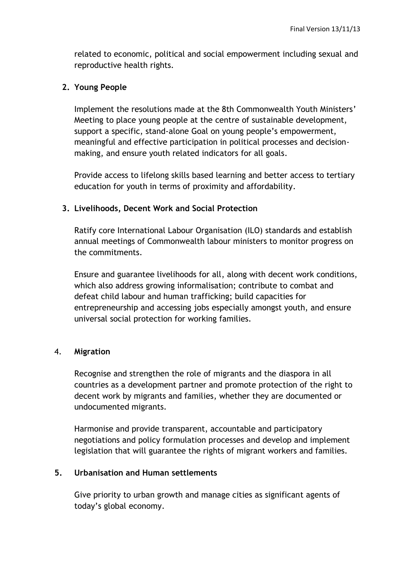related to economic, political and social empowerment including sexual and reproductive health rights.

### **2. Young People**

Implement the resolutions made at the 8th Commonwealth Youth Ministers' Meeting to place young people at the centre of sustainable development, support a specific, stand-alone Goal on young people's empowerment, meaningful and effective participation in political processes and decisionmaking, and ensure youth related indicators for all goals.

Provide access to lifelong skills based learning and better access to tertiary education for youth in terms of proximity and affordability.

### **3. Livelihoods, Decent Work and Social Protection**

Ratify core International Labour Organisation (ILO) standards and establish annual meetings of Commonwealth labour ministers to monitor progress on the commitments.

Ensure and guarantee livelihoods for all, along with decent work conditions, which also address growing informalisation; contribute to combat and defeat child labour and human trafficking; build capacities for entrepreneurship and accessing jobs especially amongst youth, and ensure universal social protection for working families.

#### 4. **Migration**

Recognise and strengthen the role of migrants and the diaspora in all countries as a development partner and promote protection of the right to decent work by migrants and families, whether they are documented or undocumented migrants.

Harmonise and provide transparent, accountable and participatory negotiations and policy formulation processes and develop and implement legislation that will guarantee the rights of migrant workers and families.

#### **5. Urbanisation and Human settlements**

Give priority to urban growth and manage cities as significant agents of today's global economy.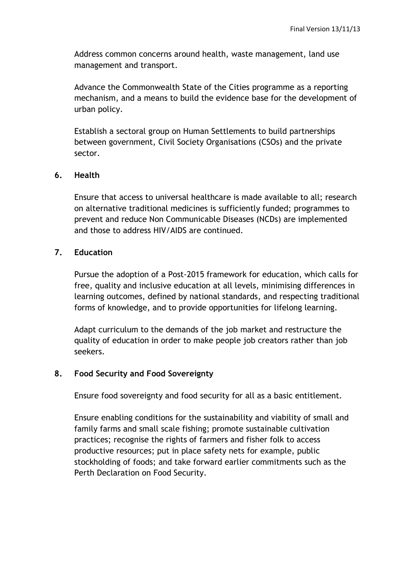Address common concerns around health, waste management, land use management and transport.

Advance the Commonwealth State of the Cities programme as a reporting mechanism, and a means to build the evidence base for the development of urban policy.

Establish a sectoral group on Human Settlements to build partnerships between government, Civil Society Organisations (CSOs) and the private sector.

#### **6. Health**

Ensure that access to universal healthcare is made available to all; research on alternative traditional medicines is sufficiently funded; programmes to prevent and reduce Non Communicable Diseases (NCDs) are implemented and those to address HIV/AIDS are continued.

#### **7. Education**

Pursue the adoption of a Post-2015 framework for education, which calls for free, quality and inclusive education at all levels, minimising differences in learning outcomes, defined by national standards, and respecting traditional forms of knowledge, and to provide opportunities for lifelong learning.

Adapt curriculum to the demands of the job market and restructure the quality of education in order to make people job creators rather than job seekers.

### **8. Food Security and Food Sovereignty**

Ensure food sovereignty and food security for all as a basic entitlement.

Ensure enabling conditions for the sustainability and viability of small and family farms and small scale fishing; promote sustainable cultivation practices; recognise the rights of farmers and fisher folk to access productive resources; put in place safety nets for example, public stockholding of foods; and take forward earlier commitments such as the Perth Declaration on Food Security.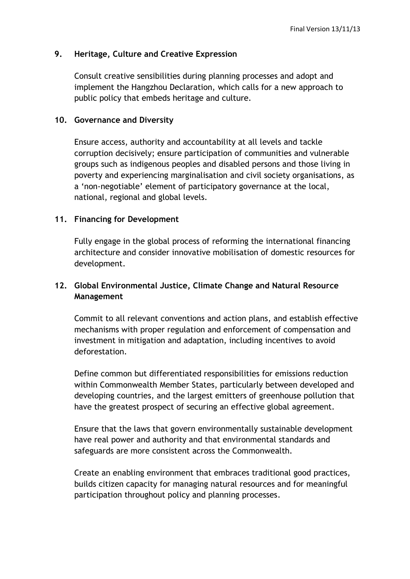#### **9. Heritage, Culture and Creative Expression**

Consult creative sensibilities during planning processes and adopt and implement the Hangzhou Declaration, which calls for a new approach to public policy that embeds heritage and culture.

#### **10. Governance and Diversity**

Ensure access, authority and accountability at all levels and tackle corruption decisively; ensure participation of communities and vulnerable groups such as indigenous peoples and disabled persons and those living in poverty and experiencing marginalisation and civil society organisations, as a 'non-negotiable' element of participatory governance at the local, national, regional and global levels.

#### **11. Financing for Development**

Fully engage in the global process of reforming the international financing architecture and consider innovative mobilisation of domestic resources for development.

### **12. Global Environmental Justice, Climate Change and Natural Resource Management**

Commit to all relevant conventions and action plans, and establish effective mechanisms with proper regulation and enforcement of compensation and investment in mitigation and adaptation, including incentives to avoid deforestation.

Define common but differentiated responsibilities for emissions reduction within Commonwealth Member States, particularly between developed and developing countries, and the largest emitters of greenhouse pollution that have the greatest prospect of securing an effective global agreement.

Ensure that the laws that govern environmentally sustainable development have real power and authority and that environmental standards and safeguards are more consistent across the Commonwealth.

Create an enabling environment that embraces traditional good practices, builds citizen capacity for managing natural resources and for meaningful participation throughout policy and planning processes.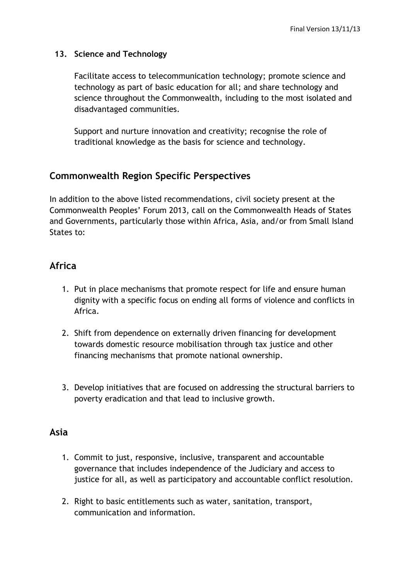### **13. Science and Technology**

Facilitate access to telecommunication technology; promote science and technology as part of basic education for all; and share technology and science throughout the Commonwealth, including to the most isolated and disadvantaged communities.

Support and nurture innovation and creativity; recognise the role of traditional knowledge as the basis for science and technology.

# **Commonwealth Region Specific Perspectives**

In addition to the above listed recommendations, civil society present at the Commonwealth Peoples' Forum 2013, call on the Commonwealth Heads of States and Governments, particularly those within Africa, Asia, and/or from Small Island States to:

# **Africa**

- 1. Put in place mechanisms that promote respect for life and ensure human dignity with a specific focus on ending all forms of violence and conflicts in Africa.
- 2. Shift from dependence on externally driven financing for development towards domestic resource mobilisation through tax justice and other financing mechanisms that promote national ownership.
- 3. Develop initiatives that are focused on addressing the structural barriers to poverty eradication and that lead to inclusive growth.

## **Asia**

- 1. Commit to just, responsive, inclusive, transparent and accountable governance that includes independence of the Judiciary and access to justice for all, as well as participatory and accountable conflict resolution.
- 2. Right to basic entitlements such as water, sanitation, transport, communication and information.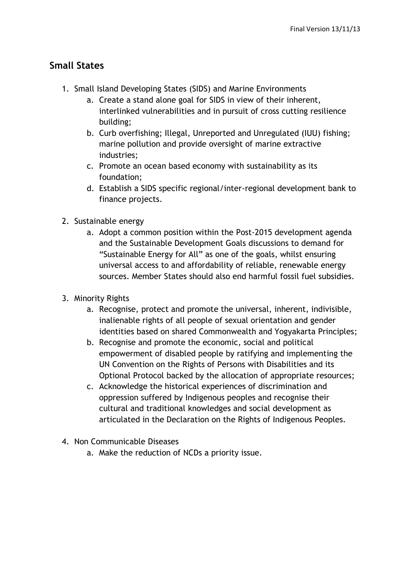# **Small States**

- 1. Small Island Developing States (SIDS) and Marine Environments
	- a. Create a stand alone goal for SIDS in view of their inherent, interlinked vulnerabilities and in pursuit of cross cutting resilience building;
	- b. Curb overfishing; Illegal, Unreported and Unregulated (IUU) fishing; marine pollution and provide oversight of marine extractive industries;
	- c. Promote an ocean based economy with sustainability as its foundation;
	- d. Establish a SIDS specific regional/inter-regional development bank to finance projects.
- 2. Sustainable energy
	- a. Adopt a common position within the Post-2015 development agenda and the Sustainable Development Goals discussions to demand for "Sustainable Energy for All" as one of the goals, whilst ensuring universal access to and affordability of reliable, renewable energy sources. Member States should also end harmful fossil fuel subsidies.
- 3. Minority Rights
	- a. Recognise, protect and promote the universal, inherent, indivisible, inalienable rights of all people of sexual orientation and gender identities based on shared Commonwealth and Yogyakarta Principles;
	- b. Recognise and promote the economic, social and political empowerment of disabled people by ratifying and implementing the UN Convention on the Rights of Persons with Disabilities and its Optional Protocol backed by the allocation of appropriate resources;
	- c. Acknowledge the historical experiences of discrimination and oppression suffered by Indigenous peoples and recognise their cultural and traditional knowledges and social development as articulated in the Declaration on the Rights of Indigenous Peoples.
- 4. Non Communicable Diseases
	- a. Make the reduction of NCDs a priority issue.